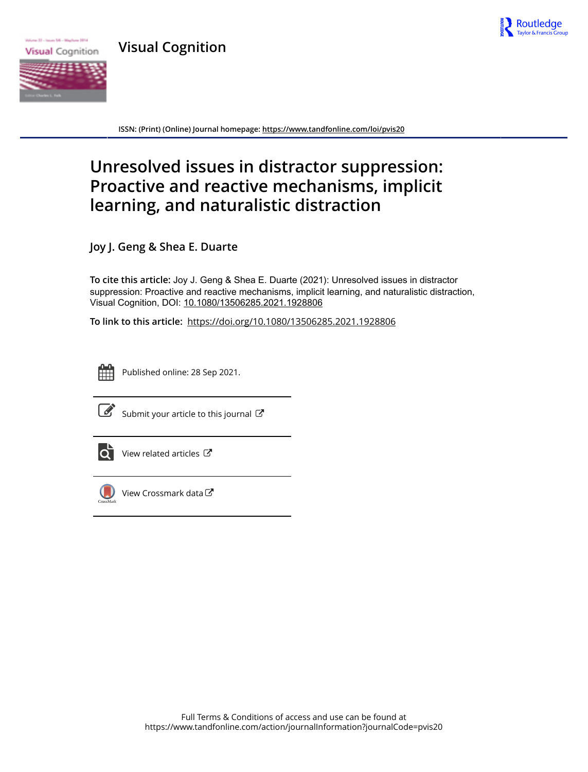

**Visual Cognition**



**ISSN: (Print) (Online) Journal homepage:<https://www.tandfonline.com/loi/pvis20>**

# **Unresolved issues in distractor suppression: Proactive and reactive mechanisms, implicit learning, and naturalistic distraction**

**Joy J. Geng & Shea E. Duarte**

**To cite this article:** Joy J. Geng & Shea E. Duarte (2021): Unresolved issues in distractor suppression: Proactive and reactive mechanisms, implicit learning, and naturalistic distraction, Visual Cognition, DOI: [10.1080/13506285.2021.1928806](https://www.tandfonline.com/action/showCitFormats?doi=10.1080/13506285.2021.1928806)

**To link to this article:** <https://doi.org/10.1080/13506285.2021.1928806>



Published online: 28 Sep 2021.



 $\overrightarrow{S}$  [Submit your article to this journal](https://www.tandfonline.com/action/authorSubmission?journalCode=pvis20&show=instructions)  $\overrightarrow{S}$ 



 $\overrightarrow{Q}$  [View related articles](https://www.tandfonline.com/doi/mlt/10.1080/13506285.2021.1928806)  $\overrightarrow{C}$ 



[View Crossmark data](http://crossmark.crossref.org/dialog/?doi=10.1080/13506285.2021.1928806&domain=pdf&date_stamp=2021-09-28) $G$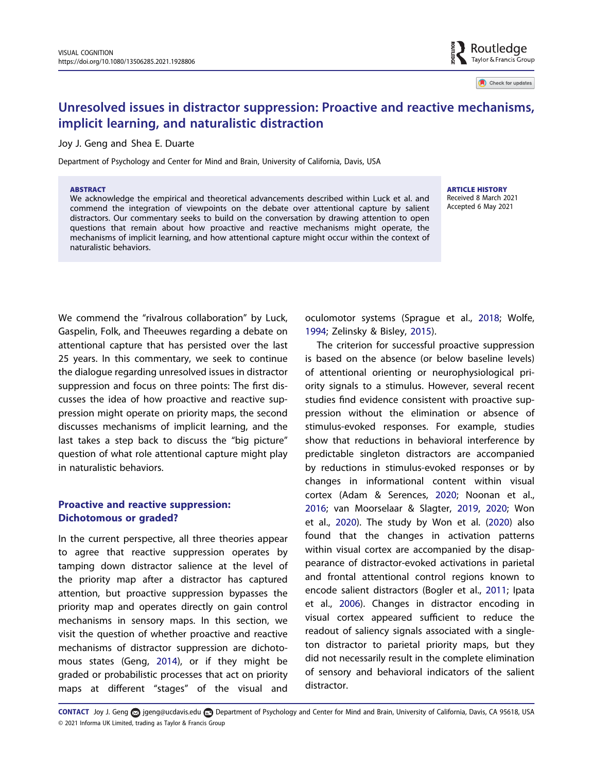Routledge Taylor & Francis Group

Check for updates

## Unresolved issues in distractor suppression: Proactive and reactive mechanisms, implicit learning, and naturalistic distraction

Joy J. Geng and Shea E. Duarte

Department of Psychology and Center for Mind and Brain, University of California, Davis, USA

#### ABSTRACT

We acknowledge the empirical and theoretical advancements described within Luck et al. and commend the integration of viewpoints on the debate over attentional capture by salient distractors. Our commentary seeks to build on the conversation by drawing attention to open questions that remain about how proactive and reactive mechanisms might operate, the mechanisms of implicit learning, and how attentional capture might occur within the context of naturalistic behaviors.

#### ARTICLE HISTORY Received 8 March 2021 Accepted 6 May 2021

We commend the "rivalrous collaboration" by Luck, Gaspelin, Folk, and Theeuwes regarding a debate on attentional capture that has persisted over the last 25 years. In this commentary, we seek to continue the dialogue regarding unresolved issues in distractor suppression and focus on three points: The first discusses the idea of how proactive and reactive suppression might operate on priority maps, the second discusses mechanisms of implicit learning, and the last takes a step back to discuss the "big picture" question of what role attentional capture might play in naturalistic behaviors.

## Proactive and reactive suppression: Dichotomous or graded?

In the current perspective, all three theories appear to agree that reactive suppression operates by tamping down distractor salience at the level of the priority map after a distractor has captured attention, but proactive suppression bypasses the priority map and operates directly on gain control mechanisms in sensory maps. In this section, we visit the question of whether proactive and reactive mechanisms of distractor suppression are dichotomous states (Geng, [2014](#page-4-0)), or if they might be graded or probabilistic processes that act on priority maps at different "stages" of the visual and

<span id="page-1-7"></span><span id="page-1-4"></span>oculomotor systems (Sprague et al., [2018](#page-5-0); Wolfe, [1994](#page-6-0); Zelinsky & Bisley, [2015\)](#page-6-1).

<span id="page-1-6"></span><span id="page-1-5"></span><span id="page-1-3"></span><span id="page-1-1"></span><span id="page-1-0"></span>The criterion for successful proactive suppression is based on the absence (or below baseline levels) of attentional orienting or neurophysiological priority signals to a stimulus. However, several recent studies find evidence consistent with proactive suppression without the elimination or absence of stimulus-evoked responses. For example, studies show that reductions in behavioral interference by predictable singleton distractors are accompanied by reductions in stimulus-evoked responses or by changes in informational content within visual cortex (Adam & Serences, [2020](#page-4-1); Noonan et al., [2016](#page-5-1); van Moorselaar & Slagter, [2019,](#page-6-2) [2020](#page-6-3); Won et al., [2020](#page-6-4)). The study by Won et al. [\(2020\)](#page-6-4) also found that the changes in activation patterns within visual cortex are accompanied by the disappearance of distractor-evoked activations in parietal and frontal attentional control regions known to encode salient distractors (Bogler et al., [2011;](#page-4-2) Ipata et al., [2006](#page-5-2)). Changes in distractor encoding in visual cortex appeared sufficient to reduce the readout of saliency signals associated with a singleton distractor to parietal priority maps, but they did not necessarily result in the complete elimination of sensory and behavioral indicators of the salient distractor.

<span id="page-1-2"></span><sup>© 2021</sup> Informa UK Limited, trading as Taylor & Francis Group CONTACT Joy J. Geng a [jgeng@ucdavis.edu](mailto:jgeng@ucdavis.edu) Department of Psychology and Center for Mind and Brain, University of California, Davis, CA 95618, USA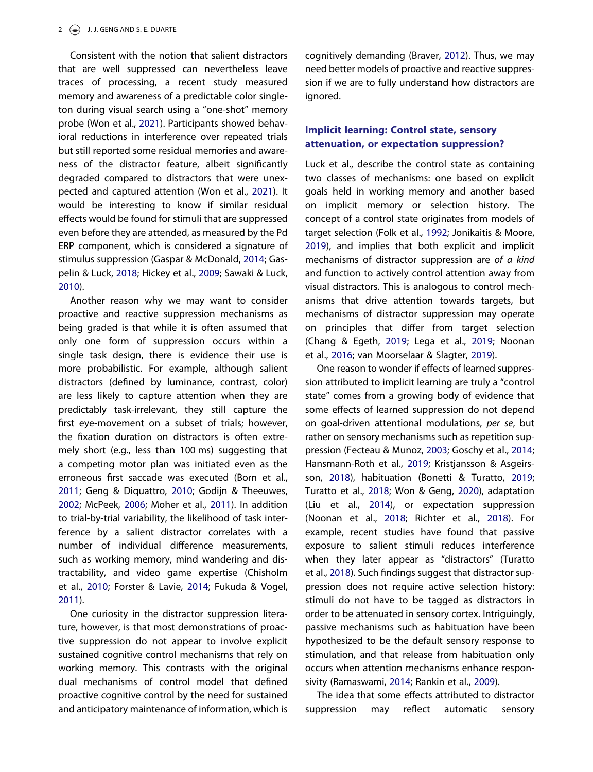Consistent with the notion that salient distractors that are well suppressed can nevertheless leave traces of processing, a recent study measured memory and awareness of a predictable color singleton during visual search using a "one-shot" memory probe (Won et al., [2021\)](#page-6-5). Participants showed behavioral reductions in interference over repeated trials but still reported some residual memories and awareness of the distractor feature, albeit significantly degraded compared to distractors that were unexpected and captured attention (Won et al., [2021\)](#page-6-5). It would be interesting to know if similar residual effects would be found for stimuli that are suppressed even before they are attended, as measured by the Pd ERP component, which is considered a signature of stimulus suppression (Gaspar & McDonald, [2014;](#page-4-3) Gaspelin & Luck, [2018;](#page-4-4) Hickey et al., [2009;](#page-5-3) Sawaki & Luck, [2010\)](#page-5-4).

<span id="page-2-17"></span><span id="page-2-8"></span><span id="page-2-7"></span>Another reason why we may want to consider proactive and reactive suppression mechanisms as being graded is that while it is often assumed that only one form of suppression occurs within a single task design, there is evidence their use is more probabilistic. For example, although salient distractors (defined by luminance, contrast, color) are less likely to capture attention when they are predictably task-irrelevant, they still capture the first eye-movement on a subset of trials; however, the fixation duration on distractors is often extremely short (e.g., less than 100 ms) suggesting that a competing motor plan was initiated even as the erroneous first saccade was executed (Born et al., [2011;](#page-4-5) Geng & Diquattro, [2010;](#page-5-5) Godijn & Theeuwes, [2002;](#page-5-6) McPeek, [2006](#page-5-7); Moher et al., [2011\)](#page-5-8). In addition to trial-by-trial variability, the likelihood of task interference by a salient distractor correlates with a number of individual difference measurements, such as working memory, mind wandering and distractability, and video game expertise (Chisholm et al., [2010;](#page-4-6) Forster & Lavie, [2014](#page-4-7); Fukuda & Vogel, [2011\)](#page-4-8).

<span id="page-2-12"></span><span id="page-2-9"></span><span id="page-2-4"></span><span id="page-2-1"></span>One curiosity in the distractor suppression literature, however, is that most demonstrations of proactive suppression do not appear to involve explicit sustained cognitive control mechanisms that rely on working memory. This contrasts with the original dual mechanisms of control model that defined proactive cognitive control by the need for sustained and anticipatory maintenance of information, which is

<span id="page-2-2"></span>cognitively demanding (Braver, [2012](#page-4-9)). Thus, we may need better models of proactive and reactive suppression if we are to fully understand how distractors are ignored.

## Implicit learning: Control state, sensory attenuation, or expectation suppression?

<span id="page-2-6"></span>Luck et al., describe the control state as containing two classes of mechanisms: one based on explicit goals held in working memory and another based on implicit memory or selection history. The concept of a control state originates from models of target selection (Folk et al., [1992;](#page-4-10) Jonikaitis & Moore, [2019](#page-5-9)), and implies that both explicit and implicit mechanisms of distractor suppression are of a kind and function to actively control attention away from visual distractors. This is analogous to control mechanisms that drive attention towards targets, but mechanisms of distractor suppression may operate on principles that differ from target selection (Chang & Egeth, [2019](#page-4-11); Lega et al., [2019](#page-5-10); Noonan et al., [2016](#page-5-1); van Moorselaar & Slagter, [2019\)](#page-6-2).

<span id="page-2-16"></span><span id="page-2-13"></span><span id="page-2-11"></span><span id="page-2-10"></span><span id="page-2-5"></span><span id="page-2-3"></span><span id="page-2-0"></span>One reason to wonder if effects of learned suppression attributed to implicit learning are truly a "control state" comes from a growing body of evidence that some effects of learned suppression do not depend on goal-driven attentional modulations, per se, but rather on sensory mechanisms such as repetition suppression (Fecteau & Munoz, [2003;](#page-4-12) Goschy et al., [2014](#page-5-11); Hansmann-Roth et al., [2019](#page-5-12); Kristjansson & Asgeirsson, [2018\)](#page-5-13), habituation (Bonetti & Turatto, [2019](#page-4-13); Turatto et al., [2018;](#page-6-6) Won & Geng, [2020](#page-6-7)), adaptation (Liu et al., [2014](#page-5-14)), or expectation suppression (Noonan et al., [2018;](#page-5-15) Richter et al., [2018](#page-5-16)). For example, recent studies have found that passive exposure to salient stimuli reduces interference when they later appear as "distractors" (Turatto et al., [2018](#page-6-6)). Such findings suggest that distractor suppression does not require active selection history: stimuli do not have to be tagged as distractors in order to be attenuated in sensory cortex. Intriguingly, passive mechanisms such as habituation have been hypothesized to be the default sensory response to stimulation, and that release from habituation only occurs when attention mechanisms enhance responsivity (Ramaswami, [2014;](#page-5-17) Rankin et al., [2009\)](#page-5-18).

<span id="page-2-15"></span><span id="page-2-14"></span>The idea that some effects attributed to distractor suppression may reflect automatic sensory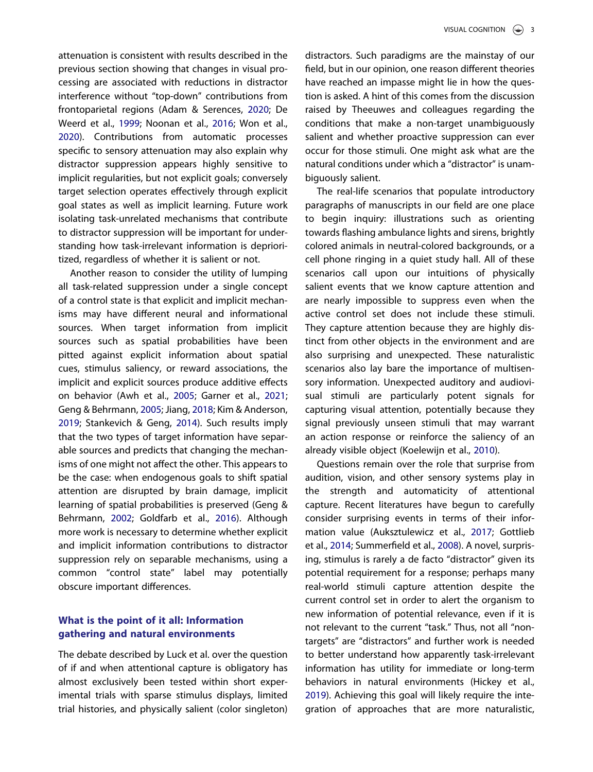<span id="page-3-2"></span>attenuation is consistent with results described in the previous section showing that changes in visual processing are associated with reductions in distractor interference without "top-down" contributions from frontoparietal regions (Adam & Serences, [2020](#page-4-1); De Weerd et al., [1999;](#page-4-14) Noonan et al., [2016;](#page-5-1) Won et al., [2020\)](#page-6-4). Contributions from automatic processes specific to sensory attenuation may also explain why distractor suppression appears highly sensitive to implicit regularities, but not explicit goals; conversely target selection operates effectively through explicit goal states as well as implicit learning. Future work isolating task-unrelated mechanisms that contribute to distractor suppression will be important for understanding how task-irrelevant information is deprioritized, regardless of whether it is salient or not.

<span id="page-3-8"></span><span id="page-3-4"></span><span id="page-3-1"></span>Another reason to consider the utility of lumping all task-related suppression under a single concept of a control state is that explicit and implicit mechanisms may have different neural and informational sources. When target information from implicit sources such as spatial probabilities have been pitted against explicit information about spatial cues, stimulus saliency, or reward associations, the implicit and explicit sources produce additive effects on behavior (Awh et al., [2005;](#page-4-15) Garner et al., [2021;](#page-4-16) Geng & Behrmann, [2005;](#page-4-17) Jiang, [2018](#page-5-19); Kim & Anderson, [2019;](#page-5-20) Stankevich & Geng, [2014\)](#page-6-8). Such results imply that the two types of target information have separable sources and predicts that changing the mechanisms of one might not affect the other. This appears to be the case: when endogenous goals to shift spatial attention are disrupted by brain damage, implicit learning of spatial probabilities is preserved (Geng & Behrmann, [2002;](#page-4-18) Goldfarb et al., [2016\)](#page-5-21). Although more work is necessary to determine whether explicit and implicit information contributions to distractor suppression rely on separable mechanisms, using a common "control state" label may potentially obscure important differences.

## <span id="page-3-3"></span>What is the point of it all: Information gathering and natural environments

The debate described by Luck et al. over the question of if and when attentional capture is obligatory has almost exclusively been tested within short experimental trials with sparse stimulus displays, limited trial histories, and physically salient (color singleton)

distractors. Such paradigms are the mainstay of our field, but in our opinion, one reason different theories have reached an impasse might lie in how the question is asked. A hint of this comes from the discussion raised by Theeuwes and colleagues regarding the conditions that make a non-target unambiguously salient and whether proactive suppression can ever occur for those stimuli. One might ask what are the natural conditions under which a "distractor" is unambiguously salient.

The real-life scenarios that populate introductory paragraphs of manuscripts in our field are one place to begin inquiry: illustrations such as orienting towards flashing ambulance lights and sirens, brightly colored animals in neutral-colored backgrounds, or a cell phone ringing in a quiet study hall. All of these scenarios call upon our intuitions of physically salient events that we know capture attention and are nearly impossible to suppress even when the active control set does not include these stimuli. They capture attention because they are highly distinct from other objects in the environment and are also surprising and unexpected. These naturalistic scenarios also lay bare the importance of multisensory information. Unexpected auditory and audiovisual stimuli are particularly potent signals for capturing visual attention, potentially because they signal previously unseen stimuli that may warrant an action response or reinforce the saliency of an already visible object (Koelewijn et al., [2010\)](#page-5-22).

<span id="page-3-7"></span><span id="page-3-6"></span><span id="page-3-5"></span><span id="page-3-0"></span>Questions remain over the role that surprise from audition, vision, and other sensory systems play in the strength and automaticity of attentional capture. Recent literatures have begun to carefully consider surprising events in terms of their information value (Auksztulewicz et al., [2017;](#page-4-19) Gottlieb et al., [2014;](#page-5-23) Summerfield et al., [2008](#page-6-9)). A novel, surprising, stimulus is rarely a de facto "distractor" given its potential requirement for a response; perhaps many real-world stimuli capture attention despite the current control set in order to alert the organism to new information of potential relevance, even if it is not relevant to the current "task." Thus, not all "nontargets" are "distractors" and further work is needed to better understand how apparently task-irrelevant information has utility for immediate or long-term behaviors in natural environments (Hickey et al., [2019](#page-5-24)). Achieving this goal will likely require the integration of approaches that are more naturalistic,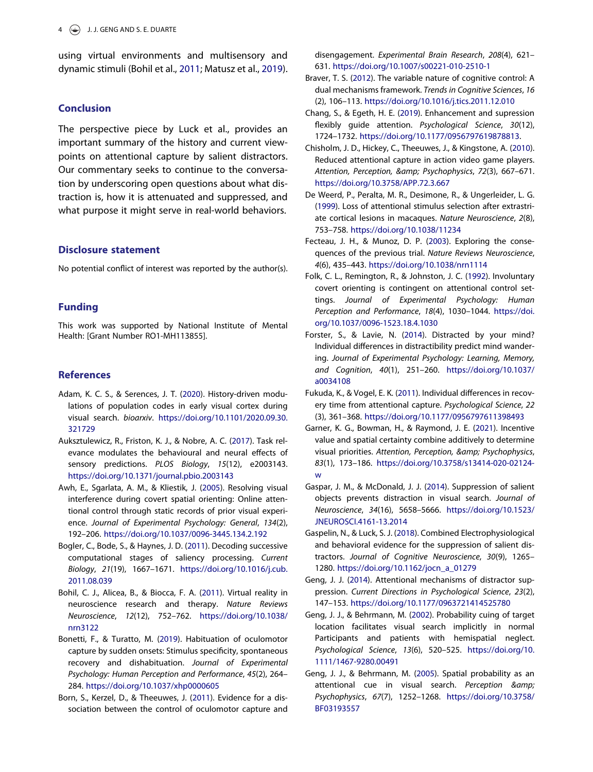<span id="page-4-21"></span>using virtual environments and multisensory and dynamic stimuli (Bohil et al., [2011;](#page-4-20) Matusz et al., [2019\)](#page-5-25).

#### Conclusion

The perspective piece by Luck et al., provides an important summary of the history and current viewpoints on attentional capture by salient distractors. Our commentary seeks to continue to the conversation by underscoring open questions about what distraction is, how it is attenuated and suppressed, and what purpose it might serve in real-world behaviors.

#### Disclosure statement

No potential conflict of interest was reported by the author(s).

#### Funding

This work was supported by National Institute of Mental Health: [Grant Number RO1-MH113855].

#### References

- <span id="page-4-1"></span>Adam, K. C. S., & Serences, J. T. ([2020](#page-1-0)). History-driven modulations of population codes in early visual cortex during visual search. bioarxiv. [https://doi.org/10.1101/2020.09.30.](https://doi.org/10.1101/2020.09.30.321729) [321729](https://doi.org/10.1101/2020.09.30.321729)
- <span id="page-4-19"></span>Auksztulewicz, R., Friston, K. J., & Nobre, A. C. [\(2017\)](#page-3-0). Task relevance modulates the behavioural and neural effects of sensory predictions. PLOS Biology, 15(12), e2003143. <https://doi.org/>[10.1371/journal.pbio.2003143](https://doi.org/10.1371/journal.pbio.2003143)
- <span id="page-4-15"></span>Awh, E., Sgarlata, A. M., & Kliestik, J. ([2005](#page-3-1)). Resolving visual interference during covert spatial orienting: Online attentional control through static records of prior visual experience. Journal of Experimental Psychology: General, 134(2), 192–206. <https://doi.org/>[10.1037/0096-3445.134.2.192](https://doi.org/10.1037/0096-3445.134.2.192)
- <span id="page-4-2"></span>Bogler, C., Bode, S., & Haynes, J. D. ([2011](#page-1-1)). Decoding successive computational stages of saliency processing. Current Biology, 21(19), 1667–1671. <https://doi.org/>[10.1016/j.cub.](https://doi.org/10.1016/j.cub.2011.08.039) [2011.08.039](https://doi.org/10.1016/j.cub.2011.08.039)
- <span id="page-4-20"></span>Bohil, C. J., Alicea, B., & Biocca, F. A. [\(2011](#page-4-21)). Virtual reality in neuroscience research and therapy. Nature Reviews Neuroscience, 12(12), 752–762. <https://doi.org/>[10.1038/](https://doi.org/10.1038/nrn3122) [nrn3122](https://doi.org/10.1038/nrn3122)
- <span id="page-4-13"></span>Bonetti, F., & Turatto, M. [\(2019\)](#page-2-0). Habituation of oculomotor capture by sudden onsets: Stimulus specificity, spontaneous recovery and dishabituation. Journal of Experimental Psychology: Human Perception and Performance, 45(2), 264– 284. <https://doi.org/>[10.1037/xhp0000605](https://doi.org/10.1037/xhp0000605)
- <span id="page-4-5"></span>Born, S., Kerzel, D., & Theeuwes, J. ([2011](#page-2-1)). Evidence for a dissociation between the control of oculomotor capture and

disengagement. Experimental Brain Research, 208(4), 621– 631. <https://doi.org/>[10.1007/s00221-010-2510-1](https://doi.org/10.1007/s00221-010-2510-1)

- <span id="page-4-9"></span>Braver, T. S. ([2012](#page-2-2)). The variable nature of cognitive control: A dual mechanisms framework. Trends in Cognitive Sciences, 16 (2), 106–113. <https://doi.org/>[10.1016/j.tics.2011.12.010](https://doi.org/10.1016/j.tics.2011.12.010)
- <span id="page-4-11"></span>Chang, S., & Egeth, H. E. [\(2019\)](#page-2-3). Enhancement and supression flexibly guide attention. Psychological Science, 30(12), 1724–1732. <https://doi.org/>[10.1177/0956797619878813.](https://doi.org/10.1177/0956797619878813)
- <span id="page-4-6"></span>Chisholm, J. D., Hickey, C., Theeuwes, J., & Kingstone, A. ([2010](#page-2-4)). Reduced attentional capture in action video game players. Attention, Perception, & amp; Psychophysics, 72(3), 667-671. <https://doi.org/>[10.3758/APP.72.3.667](https://doi.org/10.3758/APP.72.3.667)
- <span id="page-4-14"></span>De Weerd, P., Peralta, M. R., Desimone, R., & Ungerleider, L. G. [\(1999\)](#page-3-2). Loss of attentional stimulus selection after extrastriate cortical lesions in macaques. Nature Neuroscience, 2(8), 753–758. <https://doi.org/>[10.1038/11234](https://doi.org/10.1038/11234)
- <span id="page-4-12"></span>Fecteau, J. H., & Munoz, D. P. ([2003](#page-2-5)). Exploring the consequences of the previous trial. Nature Reviews Neuroscience, 4(6), 435–443. <https://doi.org/>[10.1038/nrn1114](https://doi.org/10.1038/nrn1114)
- <span id="page-4-10"></span>Folk, C. L., Remington, R., & Johnston, J. C. ([1992](#page-2-6)). Involuntary covert orienting is contingent on attentional control settings. Journal of Experimental Psychology: Human Perception and Performance, 18(4), 1030–1044. [https://doi.](https://doi.org/) [org/](https://doi.org/)[10.1037/0096-1523.18.4.1030](https://doi.org/10.1037/0096-1523.18.4.1030)
- <span id="page-4-7"></span>Forster, S., & Lavie, N. ([2014](#page-2-4)). Distracted by your mind? Individual differences in distractibility predict mind wandering. Journal of Experimental Psychology: Learning, Memory, and Cognition, 40(1), 251–260. <https://doi.org/>[10.1037/](https://doi.org/10.1037/a0034108) [a0034108](https://doi.org/10.1037/a0034108)
- <span id="page-4-8"></span>Fukuda, K., & Vogel, E. K. ([2011](#page-2-4)). Individual differences in recovery time from attentional capture. Psychological Science, 22 (3), 361–368. <https://doi.org/>[10.1177/0956797611398493](https://doi.org/10.1177/0956797611398493)
- <span id="page-4-16"></span>Garner, K. G., Bowman, H., & Raymond, J. E. ([2021](#page-3-1)). Incentive value and spatial certainty combine additively to determine visual priorities. Attention, Perception, & amp; Psychophysics, 83(1), 173–186. <https://doi.org/>[10.3758/s13414-020-02124](https://doi.org/10.3758/s13414-020-02124-w) [w](https://doi.org/10.3758/s13414-020-02124-w)
- <span id="page-4-3"></span>Gaspar, J. M., & McDonald, J. J. ([2014](#page-2-7)). Suppression of salient objects prevents distraction in visual search. Journal of Neuroscience, 34(16), 5658–5666. <https://doi.org/>[10.1523/](https://doi.org/10.1523/JNEUROSCI.4161-13.2014) [JNEUROSCI.4161-13.2014](https://doi.org/10.1523/JNEUROSCI.4161-13.2014)
- <span id="page-4-4"></span>Gaspelin, N., & Luck, S. J. ([2018](#page-2-8)). Combined Electrophysiological and behavioral evidence for the suppression of salient distractors. Journal of Cognitive Neuroscience, 30(9), 1265– 1280. <https://doi.org/>[10.1162/jocn\\_a\\_01279](https://doi.org/10.1162/jocn_a_01279)
- <span id="page-4-0"></span>Geng, J. J. [\(2014\)](#page-1-2). Attentional mechanisms of distractor suppression. Current Directions in Psychological Science, 23(2), 147–153. <https://doi.org/>[10.1177/0963721414525780](https://doi.org/10.1177/0963721414525780)
- <span id="page-4-18"></span>Geng, J. J., & Behrmann, M. [\(2002\)](#page-3-3). Probability cuing of target location facilitates visual search implicitly in normal Participants and patients with hemispatial neglect. Psychological Science, 13(6), 520–525. <https://doi.org/>[10.](https://doi.org/10.1111/1467-9280.00491) [1111/1467-9280.00491](https://doi.org/10.1111/1467-9280.00491)
- <span id="page-4-17"></span>Geng, J. J., & Behrmann, M. [\(2005\)](#page-3-4). Spatial probability as an attentional cue in visual search. Perception & Psychophysics, 67(7), 1252–1268. <https://doi.org/>[10.3758/](https://doi.org/10.3758/BF03193557) [BF03193557](https://doi.org/10.3758/BF03193557)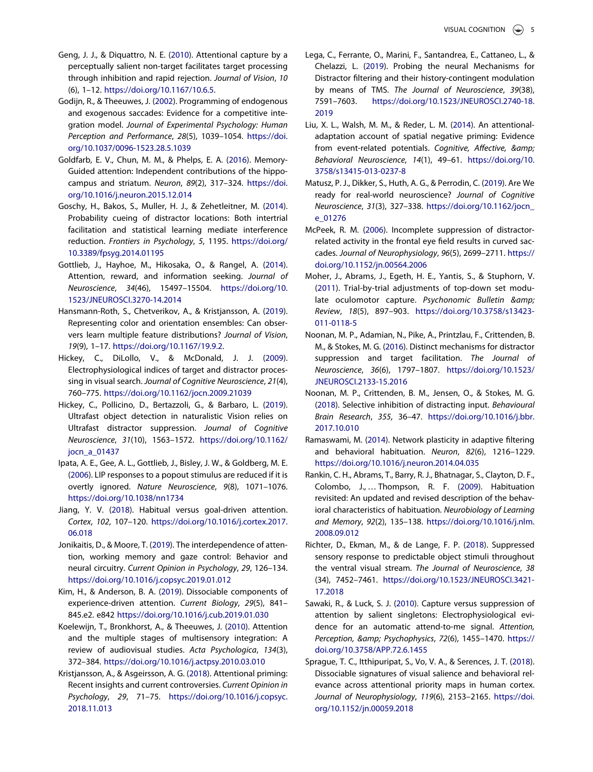- <span id="page-5-5"></span>Geng, J. J., & Diquattro, N. E. ([2010](#page-2-9)). Attentional capture by a perceptually salient non-target facilitates target processing through inhibition and rapid rejection. Journal of Vision, 10 (6), 1–12. <https://doi.org/>[10.1167/10.6.5.](https://doi.org/10.1167/10.6.5)
- <span id="page-5-6"></span>Godijn, R., & Theeuwes, J. [\(2002\)](#page-2-9). Programming of endogenous and exogenous saccades: Evidence for a competitive integration model. Journal of Experimental Psychology: Human Perception and Performance, 28(5), 1039–1054. [https://doi.](https://doi.org/) [org/](https://doi.org/)[10.1037/0096-1523.28.5.1039](https://doi.org/10.1037/0096-1523.28.5.1039)
- <span id="page-5-21"></span>Goldfarb, E. V., Chun, M. M., & Phelps, E. A. [\(2016\)](#page-3-3). Memory-Guided attention: Independent contributions of the hippocampus and striatum. Neuron, 89(2), 317–324. [https://doi.](https://doi.org/) [org/](https://doi.org/)[10.1016/j.neuron.2015.12.014](https://doi.org/10.1016/j.neuron.2015.12.014)
- <span id="page-5-11"></span>Goschy, H., Bakos, S., Muller, H. J., & Zehetleitner, M. ([2014](#page-2-5)). Probability cueing of distractor locations: Both intertrial facilitation and statistical learning mediate interference reduction. Frontiers in Psychology, 5, 1195. <https://doi.org/> [10.3389/fpsyg.2014.01195](https://doi.org/10.3389/fpsyg.2014.01195)
- <span id="page-5-23"></span>Gottlieb, J., Hayhoe, M., Hikosaka, O., & Rangel, A. ([2014](#page-3-5)). Attention, reward, and information seeking. Journal of Neuroscience, 34(46), 15497–15504. <https://doi.org/>[10.](https://doi.org/10.1523/JNEUROSCI.3270-14.2014) [1523/JNEUROSCI.3270-14.2014](https://doi.org/10.1523/JNEUROSCI.3270-14.2014)
- <span id="page-5-12"></span>Hansmann-Roth, S., Chetverikov, A., & Kristjansson, A. ([2019](#page-2-10)). Representing color and orientation ensembles: Can observers learn multiple feature distributions? Journal of Vision, 19(9), 1–17. <https://doi.org/>[10.1167/19.9.2.](https://doi.org/10.1167/19.9.2)
- <span id="page-5-3"></span>Hickey, C., DiLollo, V., & McDonald, J. J. ([2009](#page-2-8)). Electrophysiological indices of target and distractor processing in visual search. Journal of Cognitive Neuroscience, 21(4), 760–775. <https://doi.org/>[10.1162/jocn.2009.21039](https://doi.org/10.1162/jocn.2009.21039)
- <span id="page-5-24"></span>Hickey, C., Pollicino, D., Bertazzoli, G., & Barbaro, L. ([2019](#page-3-6)). Ultrafast object detection in naturalistic Vision relies on Ultrafast distractor suppression. Journal of Cognitive Neuroscience, 31(10), 1563–1572. <https://doi.org/>[10.1162/](https://doi.org/10.1162/jocn_a_01437) [jocn\\_a\\_01437](https://doi.org/10.1162/jocn_a_01437)
- <span id="page-5-2"></span>Ipata, A. E., Gee, A. L., Gottlieb, J., Bisley, J. W., & Goldberg, M. E. ([2006](#page-1-3)). LIP responses to a popout stimulus are reduced if it is overtly ignored. Nature Neuroscience, 9(8), 1071–1076. <https://doi.org/>[10.1038/nn1734](https://doi.org/10.1038/nn1734)
- <span id="page-5-19"></span>Jiang, Y. V. ([2018](#page-3-4)). Habitual versus goal-driven attention. Cortex, 102, 107–120. <https://doi.org/>[10.1016/j.cortex.2017.](https://doi.org/10.1016/j.cortex.2017.06.018) [06.018](https://doi.org/10.1016/j.cortex.2017.06.018)
- <span id="page-5-9"></span>Jonikaitis, D., & Moore, T. [\(2019\)](#page-2-6). The interdependence of attention, working memory and gaze control: Behavior and neural circuitry. Current Opinion in Psychology, 29, 126–134. <https://doi.org/>[10.1016/j.copsyc.2019.01.012](https://doi.org/10.1016/j.copsyc.2019.01.012)
- <span id="page-5-20"></span>Kim, H., & Anderson, B. A. ([2019](#page-3-4)). Dissociable components of experience-driven attention. Current Biology, 29(5), 841– 845.e2. e842 <https://doi.org/>[10.1016/j.cub.2019.01.030](https://doi.org/10.1016/j.cub.2019.01.030)
- <span id="page-5-22"></span>Koelewijn, T., Bronkhorst, A., & Theeuwes, J. ([2010](#page-3-7)). Attention and the multiple stages of multisensory integration: A review of audiovisual studies. Acta Psychologica, 134(3), 372–384. <https://doi.org/>[10.1016/j.actpsy.2010.03.010](https://doi.org/10.1016/j.actpsy.2010.03.010)
- <span id="page-5-13"></span>Kristjansson, A., & Asgeirsson, A. G. [\(2018\)](#page-2-0). Attentional priming: Recent insights and current controversies. Current Opinion in Psychology, 29, 71–75. <https://doi.org/>[10.1016/j.copsyc.](https://doi.org/10.1016/j.copsyc.2018.11.013) [2018.11.013](https://doi.org/10.1016/j.copsyc.2018.11.013)
- <span id="page-5-10"></span>Lega, C., Ferrante, O., Marini, F., Santandrea, E., Cattaneo, L., & Chelazzi, L. [\(2019](#page-2-3)). Probing the neural Mechanisms for Distractor filtering and their history-contingent modulation by means of TMS. The Journal of Neuroscience, 39(38), 7591–7603. <https://doi.org/>[10.1523/JNEUROSCI.2740-18.](https://doi.org/10.1523/JNEUROSCI.2740-18.2019) [2019](https://doi.org/10.1523/JNEUROSCI.2740-18.2019)
- <span id="page-5-14"></span>Liu, X. L., Walsh, M. M., & Reder, L. M. ([2014](#page-2-11)). An attentionaladaptation account of spatial negative priming: Evidence from event-related potentials. Cognitive, Affective, & Behavioral Neuroscience, 14(1), 49–61. <https://doi.org/>[10.](https://doi.org/10.3758/s13415-013-0237-8) [3758/s13415-013-0237-8](https://doi.org/10.3758/s13415-013-0237-8)
- <span id="page-5-25"></span>Matusz, P. J., Dikker, S., Huth, A. G., & Perrodin, C. ([2019](#page-4-21)). Are We ready for real-world neuroscience? Journal of Cognitive Neuroscience, 31(3), 327–338. <https://doi.org/>[10.1162/jocn\\_](https://doi.org/10.1162/jocn_e_01276) [e\\_01276](https://doi.org/10.1162/jocn_e_01276)
- <span id="page-5-7"></span>McPeek, R. M. ([2006](#page-2-12)). Incomplete suppression of distractorrelated activity in the frontal eye field results in curved saccades. Journal of Neurophysiology, 96(5), 2699–2711. [https://](https://doi.org/) [doi.org/](https://doi.org/)[10.1152/jn.00564.2006](https://doi.org/10.1152/jn.00564.2006)
- <span id="page-5-8"></span>Moher, J., Abrams, J., Egeth, H. E., Yantis, S., & Stuphorn, V. [\(2011](#page-2-12)). Trial-by-trial adjustments of top-down set modulate oculomotor capture. Psychonomic Bulletin & Review, 18(5), 897–903. <https://doi.org/>[10.3758/s13423-](https://doi.org/10.3758/s13423-011-0118-5) [011-0118-5](https://doi.org/10.3758/s13423-011-0118-5)
- <span id="page-5-1"></span>Noonan, M. P., Adamian, N., Pike, A., Printzlau, F., Crittenden, B. M., & Stokes, M. G. [\(2016\)](#page-1-0). Distinct mechanisms for distractor suppression and target facilitation. The Journal of Neuroscience, 36(6), 1797–1807. <https://doi.org/>[10.1523/](https://doi.org/10.1523/JNEUROSCI.2133-15.2016) [JNEUROSCI.2133-15.2016](https://doi.org/10.1523/JNEUROSCI.2133-15.2016)
- <span id="page-5-15"></span>Noonan, M. P., Crittenden, B. M., Jensen, O., & Stokes, M. G. [\(2018\)](#page-2-13). Selective inhibition of distracting input. Behavioural Brain Research, 355, 36–47. <https://doi.org/>[10.1016/j.bbr.](https://doi.org/10.1016/j.bbr.2017.10.010) [2017.10.010](https://doi.org/10.1016/j.bbr.2017.10.010)
- <span id="page-5-17"></span>Ramaswami, M. ([2014](#page-2-14)). Network plasticity in adaptive filtering and behavioral habituation. Neuron, 82(6), 1216–1229. <https://doi.org/>[10.1016/j.neuron.2014.04.035](https://doi.org/10.1016/j.neuron.2014.04.035)
- <span id="page-5-18"></span>Rankin, C. H., Abrams, T., Barry, R. J., Bhatnagar, S., Clayton, D. F., Colombo, J., … Thompson, R. F. [\(2009\)](#page-2-14). Habituation revisited: An updated and revised description of the behavioral characteristics of habituation. Neurobiology of Learning and Memory, 92(2), 135–138. <https://doi.org/>[10.1016/j.nlm.](https://doi.org/10.1016/j.nlm.2008.09.012) [2008.09.012](https://doi.org/10.1016/j.nlm.2008.09.012)
- <span id="page-5-16"></span>Richter, D., Ekman, M., & de Lange, F. P. [\(2018](#page-2-13)). Suppressed sensory response to predictable object stimuli throughout the ventral visual stream. The Journal of Neuroscience, 38 (34), 7452–7461. <https://doi.org/>[10.1523/JNEUROSCI.3421-](https://doi.org/10.1523/JNEUROSCI.3421-17.2018) [17.2018](https://doi.org/10.1523/JNEUROSCI.3421-17.2018)
- <span id="page-5-4"></span>Sawaki, R., & Luck, S. J. [\(2010\)](#page-2-8). Capture versus suppression of attention by salient singletons: Electrophysiological evidence for an automatic attend-to-me signal. Attention, Perception, & amp; Psychophysics, 72(6), 1455-1470. [https://](https://doi.org/) [doi.org/](https://doi.org/)[10.3758/APP.72.6.1455](https://doi.org/10.3758/APP.72.6.1455)
- <span id="page-5-0"></span>Sprague, T. C., Itthipuripat, S., Vo, V. A., & Serences, J. T. ([2018](#page-1-4)). Dissociable signatures of visual salience and behavioral relevance across attentional priority maps in human cortex. Journal of Neurophysiology, 119(6), 2153–2165. [https://doi.](https://doi.org/) [org/](https://doi.org/)[10.1152/jn.00059.2018](https://doi.org/10.1152/jn.00059.2018)